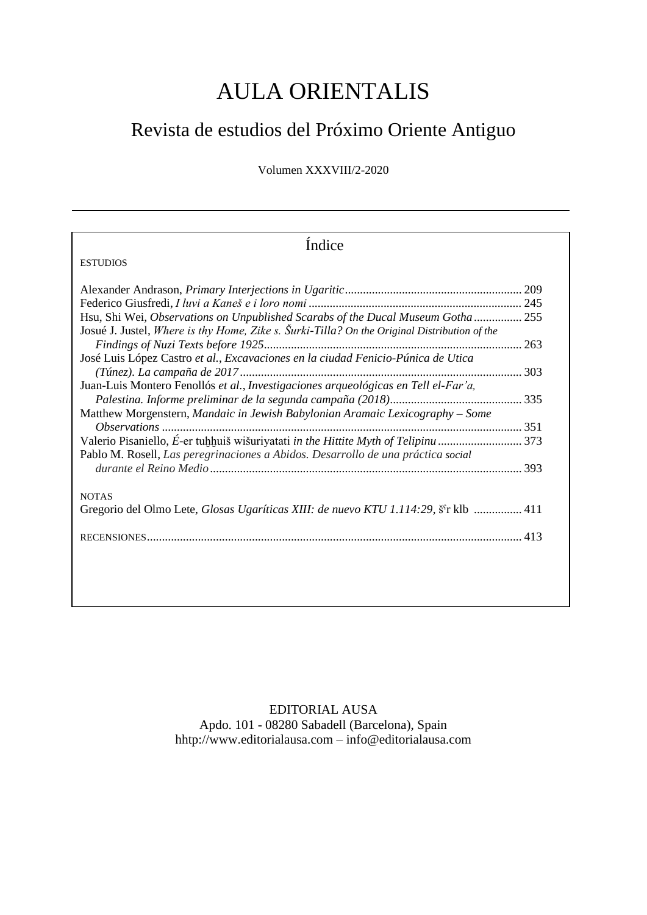## AULA ORIENTALIS

## Revista de estudios del Próximo Oriente Antiguo

Volumen XXXVIII/2-2020

| Índice                                                                                       |  |
|----------------------------------------------------------------------------------------------|--|
| <b>ESTUDIOS</b>                                                                              |  |
|                                                                                              |  |
|                                                                                              |  |
| Hsu, Shi Wei, Observations on Unpublished Scarabs of the Ducal Museum Gotha 255              |  |
| Josué J. Justel, Where is thy Home, Zike s. Šurki-Tilla? On the Original Distribution of the |  |
|                                                                                              |  |
| José Luis López Castro et al., Excavaciones en la ciudad Fenicio-Púnica de Utica             |  |
|                                                                                              |  |
| Juan-Luis Montero Fenollós et al., Investigaciones arqueológicas en Tell el-Far'a,           |  |
|                                                                                              |  |
| Matthew Morgenstern, Mandaic in Jewish Babylonian Aramaic Lexicography – Some                |  |
|                                                                                              |  |
|                                                                                              |  |
| Pablo M. Rosell, Las peregrinaciones a Abidos. Desarrollo de una práctica social             |  |
|                                                                                              |  |
|                                                                                              |  |
| <b>NOTAS</b>                                                                                 |  |
| Gregorio del Olmo Lete, Glosas Ugaríticas XIII: de nuevo KTU 1.114:29, š'r klb  411          |  |
|                                                                                              |  |
|                                                                                              |  |
|                                                                                              |  |
|                                                                                              |  |
|                                                                                              |  |

EDITORIAL AUSA Apdo. 101 - 08280 Sabadell (Barcelona), Spain hhtp:/[/www.editorialausa.com](http://www.editorialsusa.com/) – [info@editorialausa.com](mailto:info@editorialausa.com)